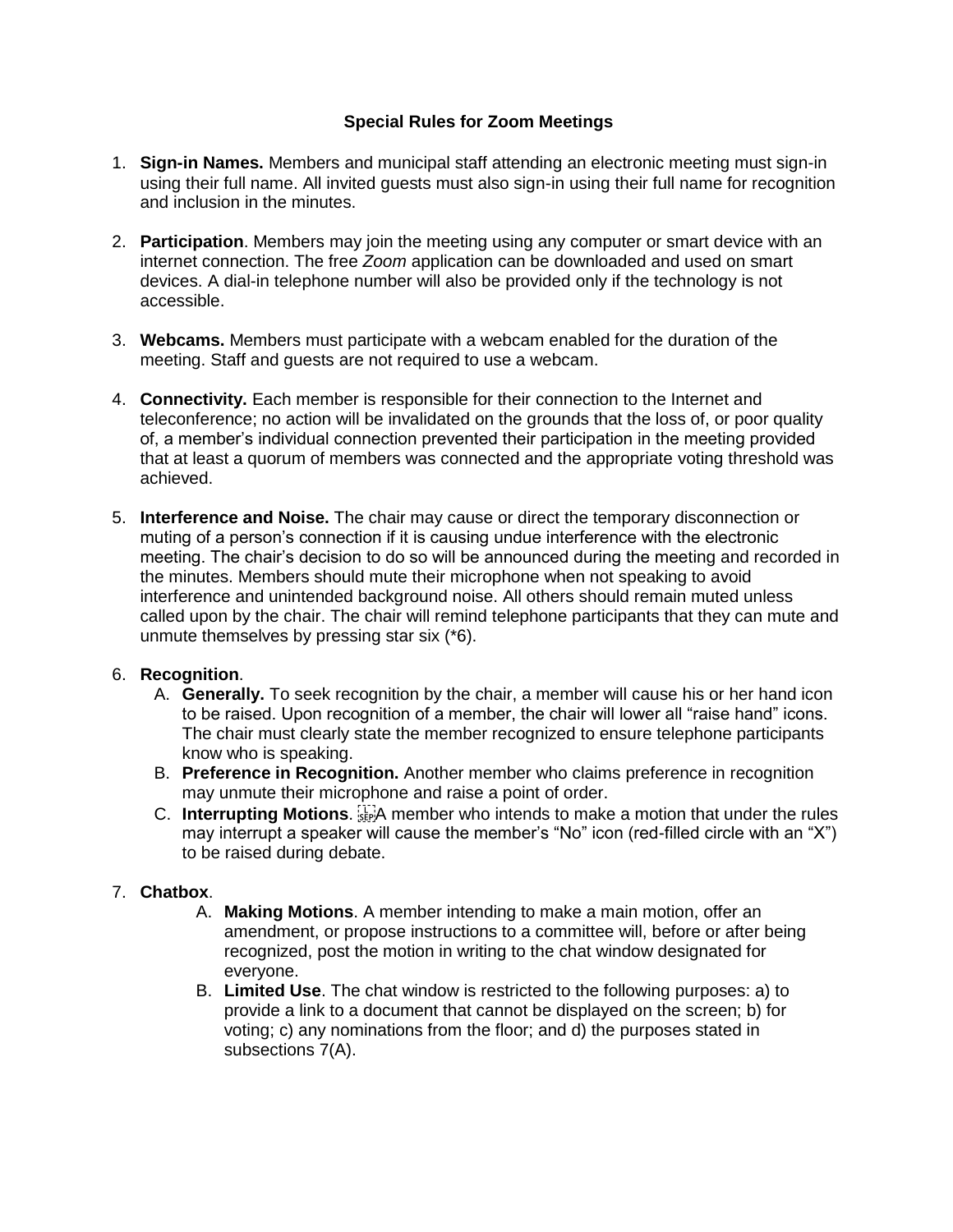## **Special Rules for Zoom Meetings**

- 1. **Sign-in Names.** Members and municipal staff attending an electronic meeting must sign-in using their full name. All invited guests must also sign-in using their full name for recognition and inclusion in the minutes.
- 2. **Participation**. Members may join the meeting using any computer or smart device with an internet connection. The free *Zoom* application can be downloaded and used on smart devices. A dial-in telephone number will also be provided only if the technology is not accessible.
- 3. **Webcams.** Members must participate with a webcam enabled for the duration of the meeting. Staff and guests are not required to use a webcam.
- 4. **Connectivity.** Each member is responsible for their connection to the Internet and teleconference; no action will be invalidated on the grounds that the loss of, or poor quality of, a member's individual connection prevented their participation in the meeting provided that at least a quorum of members was connected and the appropriate voting threshold was achieved.
- 5. **Interference and Noise.** The chair may cause or direct the temporary disconnection or muting of a person's connection if it is causing undue interference with the electronic meeting. The chair's decision to do so will be announced during the meeting and recorded in the minutes. Members should mute their microphone when not speaking to avoid interference and unintended background noise. All others should remain muted unless called upon by the chair. The chair will remind telephone participants that they can mute and unmute themselves by pressing star six (\*6).

## 6. **Recognition**.

- A. **Generally.** To seek recognition by the chair, a member will cause his or her hand icon to be raised. Upon recognition of a member, the chair will lower all "raise hand" icons. The chair must clearly state the member recognized to ensure telephone participants know who is speaking.
- B. **Preference in Recognition.** Another member who claims preference in recognition may unmute their microphone and raise a point of order.
- C. Interrupting Motions. **EXP** member who intends to make a motion that under the rules may interrupt a speaker will cause the member's "No" icon (red-filled circle with an "X") to be raised during debate.

## 7. **Chatbox**.

- A. **Making Motions**. A member intending to make a main motion, offer an amendment, or propose instructions to a committee will, before or after being recognized, post the motion in writing to the chat window designated for everyone.
- B. **Limited Use**. The chat window is restricted to the following purposes: a) to provide a link to a document that cannot be displayed on the screen; b) for voting; c) any nominations from the floor; and d) the purposes stated in subsections 7(A).